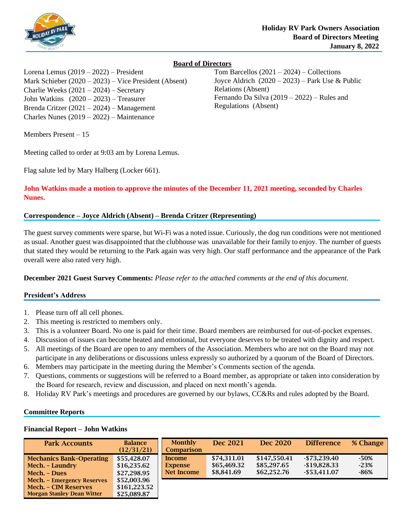

# **Board of Directors**

Lorena Lemus (2019 – 2022) – President Mark Schieber (2020 – 2023) – Vice President (Absent) Charlie Weeks (2021 – 2024) – Secretary John Watkins (2020 – 2023) – Treasurer Brenda Critzer (2021 – 2024) – Management Charles Nunes (2019 – 2022) – Maintenance

Members Present – 15

Meeting called to order at 9:03 am by Lorena Lemus.

Flag salute led by Mary Halberg (Locker 661).

**John Watkins made a motion to approve the minutes of the December 11, 2021 meeting, seconded by Charles Nunes.**

# **Correspondence – Joyce Aldrich (Absent) – Brenda Critzer (Representing)**

The guest survey comments were sparse, but Wi-Fi was a noted issue. Curiously, the dog run conditions were not mentioned as usual. Another guest was disappointed that the clubhouse was unavailable for their family to enjoy. The number of guests that stated they would be returning to the Park again was very high. Our staff performance and the appearance of the Park overall were also rated very high.

**December 2021 Guest Survey Comments:** *Please refer to the attached comments at the end of this document.*

# **President's Address**

- 1. Please turn off all cell phones.
- 2. This meeting is restricted to members only.
- 3. This is a volunteer Board. No one is paid for their time. Board members are reimbursed for out-of-pocket expenses.
- 4. Discussion of issues can become heated and emotional, but everyone deserves to be treated with dignity and respect.
- 5. All meetings of the Board are open to any members of the Association. Members who are not on the Board may not participate in any deliberations or discussions unless expressly so authorized by a quorum of the Board of Directors.
- 6. Members may participate in the meeting during the Member's Comments section of the agenda.
- 7. Questions, comments or suggestions will be referred to a Board member, as appropriate or taken into consideration by the Board for research, review and discussion, and placed on next month's agenda.
- 8. Holiday RV Park's meetings and procedures are governed by our bylaws, CC&Rs and rules adopted by the Board.

# **Committee Reports**

### **Financial Report – John Watkins**

| <b>Park Accounts</b>                                                                                  | <b>Balance</b><br>(12/31/21)               | <b>Monthly</b><br><b>Comparison</b>    | Dec 2021                                 | Dec 2020                                   | <b>Difference</b>                                   | % Change                   |
|-------------------------------------------------------------------------------------------------------|--------------------------------------------|----------------------------------------|------------------------------------------|--------------------------------------------|-----------------------------------------------------|----------------------------|
| <b>Mechanics Bank-Operating</b><br>Mech. – Laundry<br>Mech. - Dues                                    | \$55,428.07<br>\$16,235.62<br>\$27,298.95  | Income<br><b>Expense</b><br>Net Income | \$74.311.01<br>\$65,469.32<br>\$8,841.69 | \$147.550.41<br>\$85,297.65<br>\$62,252,76 | $-$ \$73.239.40<br>$-$19,828.33$<br>$-$ \$53.411.07 | $-50%$<br>$-23%$<br>$-86%$ |
| <b>Mech.</b> - Emergency Reserves<br><b>Mech. - CIM Reserves</b><br><b>Morgan Stanley Dean Witter</b> | \$52,003.96<br>\$161,223.52<br>\$25,089.87 |                                        |                                          |                                            |                                                     |                            |

Tom Barcellos (2021 – 2024) – Collections Joyce Aldrich  $(2020 - 2023)$  – Park Use & Public Relations (Absent) Fernando Da Silva (2019 – 2022) – Rules and Regulations (Absent)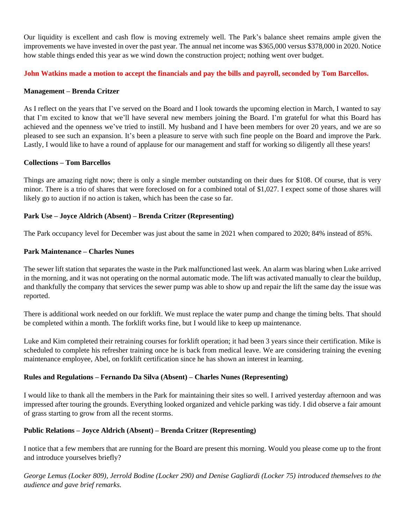Our liquidity is excellent and cash flow is moving extremely well. The Park's balance sheet remains ample given the improvements we have invested in over the past year. The annual net income was \$365,000 versus \$378,000 in 2020. Notice how stable things ended this year as we wind down the construction project; nothing went over budget.

**John Watkins made a motion to accept the financials and pay the bills and payroll, seconded by Tom Barcellos.**

## **Management – Brenda Critzer**

As I reflect on the years that I've served on the Board and I look towards the upcoming election in March, I wanted to say that I'm excited to know that we'll have several new members joining the Board. I'm grateful for what this Board has achieved and the openness we've tried to instill. My husband and I have been members for over 20 years, and we are so pleased to see such an expansion. It's been a pleasure to serve with such fine people on the Board and improve the Park. Lastly, I would like to have a round of applause for our management and staff for working so diligently all these years!

## **Collections – Tom Barcellos**

Things are amazing right now; there is only a single member outstanding on their dues for \$108. Of course, that is very minor. There is a trio of shares that were foreclosed on for a combined total of \$1,027. I expect some of those shares will likely go to auction if no action is taken, which has been the case so far.

## **Park Use – Joyce Aldrich (Absent) – Brenda Critzer (Representing)**

The Park occupancy level for December was just about the same in 2021 when compared to 2020; 84% instead of 85%.

## **Park Maintenance – Charles Nunes**

The sewer lift station that separates the waste in the Park malfunctioned last week. An alarm was blaring when Luke arrived in the morning, and it was not operating on the normal automatic mode. The lift was activated manually to clear the buildup, and thankfully the company that services the sewer pump was able to show up and repair the lift the same day the issue was reported.

There is additional work needed on our forklift. We must replace the water pump and change the timing belts. That should be completed within a month. The forklift works fine, but I would like to keep up maintenance.

Luke and Kim completed their retraining courses for forklift operation; it had been 3 years since their certification. Mike is scheduled to complete his refresher training once he is back from medical leave. We are considering training the evening maintenance employee, Abel, on forklift certification since he has shown an interest in learning.

### **Rules and Regulations – Fernando Da Silva (Absent) – Charles Nunes (Representing)**

I would like to thank all the members in the Park for maintaining their sites so well. I arrived yesterday afternoon and was impressed after touring the grounds. Everything looked organized and vehicle parking was tidy. I did observe a fair amount of grass starting to grow from all the recent storms.

# **Public Relations – Joyce Aldrich (Absent) – Brenda Critzer (Representing)**

I notice that a few members that are running for the Board are present this morning. Would you please come up to the front and introduce yourselves briefly?

*George Lemus (Locker 809), Jerrold Bodine (Locker 290) and Denise Gagliardi (Locker 75) introduced themselves to the audience and gave brief remarks.*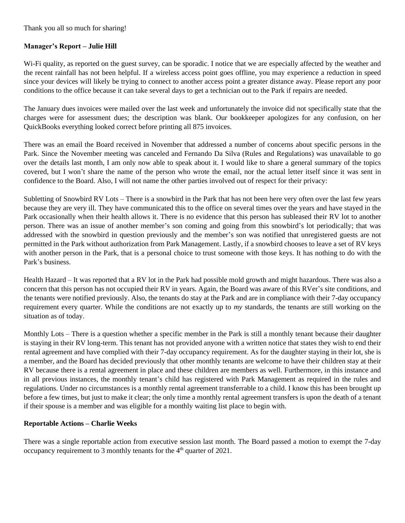Thank you all so much for sharing!

## **Manager's Report – Julie Hill**

Wi-Fi quality, as reported on the guest survey, can be sporadic. I notice that we are especially affected by the weather and the recent rainfall has not been helpful. If a wireless access point goes offline, you may experience a reduction in speed since your devices will likely be trying to connect to another access point a greater distance away. Please report any poor conditions to the office because it can take several days to get a technician out to the Park if repairs are needed.

The January dues invoices were mailed over the last week and unfortunately the invoice did not specifically state that the charges were for assessment dues; the description was blank. Our bookkeeper apologizes for any confusion, on her QuickBooks everything looked correct before printing all 875 invoices.

There was an email the Board received in November that addressed a number of concerns about specific persons in the Park. Since the November meeting was canceled and Fernando Da Silva (Rules and Regulations) was unavailable to go over the details last month, I am only now able to speak about it. I would like to share a general summary of the topics covered, but I won't share the name of the person who wrote the email, nor the actual letter itself since it was sent in confidence to the Board. Also, I will not name the other parties involved out of respect for their privacy:

Subletting of Snowbird RV Lots – There is a snowbird in the Park that has not been here very often over the last few years because they are very ill. They have communicated this to the office on several times over the years and have stayed in the Park occasionally when their health allows it. There is no evidence that this person has subleased their RV lot to another person. There was an issue of another member's son coming and going from this snowbird's lot periodically; that was addressed with the snowbird in question previously and the member's son was notified that unregistered guests are not permitted in the Park without authorization from Park Management. Lastly, if a snowbird chooses to leave a set of RV keys with another person in the Park, that is a personal choice to trust someone with those keys. It has nothing to do with the Park's business.

Health Hazard – It was reported that a RV lot in the Park had possible mold growth and might hazardous. There was also a concern that this person has not occupied their RV in years. Again, the Board was aware of this RVer's site conditions, and the tenants were notified previously. Also, the tenants do stay at the Park and are in compliance with their 7-day occupancy requirement every quarter. While the conditions are not exactly up to *my* standards, the tenants are still working on the situation as of today.

Monthly Lots – There is a question whether a specific member in the Park is still a monthly tenant because their daughter is staying in their RV long-term. This tenant has not provided anyone with a written notice that states they wish to end their rental agreement and have complied with their 7-day occupancy requirement. As for the daughter staying in their lot, she is a member, and the Board has decided previously that other monthly tenants are welcome to have their children stay at their RV because there is a rental agreement in place and these children are members as well. Furthermore, in this instance and in all previous instances, the monthly tenant's child has registered with Park Management as required in the rules and regulations. Under no circumstances is a monthly rental agreement transferrable to a child. I know this has been brought up before a few times, but just to make it clear; the only time a monthly rental agreement transfers is upon the death of a tenant if their spouse is a member and was eligible for a monthly waiting list place to begin with.

# **Reportable Actions – Charlie Weeks**

There was a single reportable action from executive session last month. The Board passed a motion to exempt the 7-day occupancy requirement to 3 monthly tenants for the 4<sup>th</sup> quarter of 2021.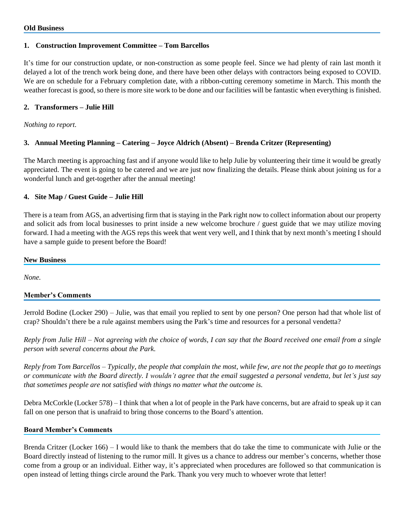## **1. Construction Improvement Committee – Tom Barcellos**

It's time for our construction update, or non-construction as some people feel. Since we had plenty of rain last month it delayed a lot of the trench work being done, and there have been other delays with contractors being exposed to COVID. We are on schedule for a February completion date, with a ribbon-cutting ceremony sometime in March. This month the weather forecast is good, so there is more site work to be done and our facilities will be fantastic when everything is finished.

## **2. Transformers – Julie Hill**

*Nothing to report.*

# **3. Annual Meeting Planning – Catering – Joyce Aldrich (Absent) – Brenda Critzer (Representing)**

The March meeting is approaching fast and if anyone would like to help Julie by volunteering their time it would be greatly appreciated. The event is going to be catered and we are just now finalizing the details. Please think about joining us for a wonderful lunch and get-together after the annual meeting!

## **4. Site Map / Guest Guide – Julie Hill**

There is a team from AGS, an advertising firm that is staying in the Park right now to collect information about our property and solicit ads from local businesses to print inside a new welcome brochure / guest guide that we may utilize moving forward. I had a meeting with the AGS reps this week that went very well, and I think that by next month's meeting I should have a sample guide to present before the Board!

#### **New Business**

*None.*

### **Member's Comments**

Jerrold Bodine (Locker 290) – Julie, was that email you replied to sent by one person? One person had that whole list of crap? Shouldn't there be a rule against members using the Park's time and resources for a personal vendetta?

*Reply from Julie Hill – Not agreeing with the choice of words, I can say that the Board received one email from a single person with several concerns about the Park.*

*Reply from Tom Barcellos – Typically, the people that complain the most, while few, are not the people that go to meetings or communicate with the Board directly. I wouldn't agree that the email suggested a personal vendetta, but let's just say that sometimes people are not satisfied with things no matter what the outcome is.*

Debra McCorkle (Locker 578) – I think that when a lot of people in the Park have concerns, but are afraid to speak up it can fall on one person that is unafraid to bring those concerns to the Board's attention.

### **Board Member's Comments**

Brenda Critzer (Locker 166) – I would like to thank the members that do take the time to communicate with Julie or the Board directly instead of listening to the rumor mill. It gives us a chance to address our member's concerns, whether those come from a group or an individual. Either way, it's appreciated when procedures are followed so that communication is open instead of letting things circle around the Park. Thank you very much to whoever wrote that letter!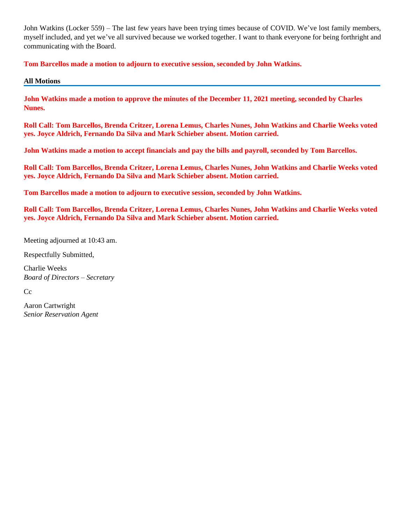John Watkins (Locker 559) – The last few years have been trying times because of COVID. We've lost family members, myself included, and yet we've all survived because we worked together. I want to thank everyone for being forthright and communicating with the Board.

**Tom Barcellos made a motion to adjourn to executive session, seconded by John Watkins.**

**All Motions**

**John Watkins made a motion to approve the minutes of the December 11, 2021 meeting, seconded by Charles Nunes.**

**Roll Call: Tom Barcellos, Brenda Critzer, Lorena Lemus, Charles Nunes, John Watkins and Charlie Weeks voted yes. Joyce Aldrich, Fernando Da Silva and Mark Schieber absent. Motion carried.**

**John Watkins made a motion to accept financials and pay the bills and payroll, seconded by Tom Barcellos.**

**Roll Call: Tom Barcellos, Brenda Critzer, Lorena Lemus, Charles Nunes, John Watkins and Charlie Weeks voted yes. Joyce Aldrich, Fernando Da Silva and Mark Schieber absent. Motion carried.**

**Tom Barcellos made a motion to adjourn to executive session, seconded by John Watkins.**

**Roll Call: Tom Barcellos, Brenda Critzer, Lorena Lemus, Charles Nunes, John Watkins and Charlie Weeks voted yes. Joyce Aldrich, Fernando Da Silva and Mark Schieber absent. Motion carried.**

Meeting adjourned at 10:43 am.

Respectfully Submitted,

Charlie Weeks *Board of Directors – Secretary*

Cc

Aaron Cartwright *Senior Reservation Agent*